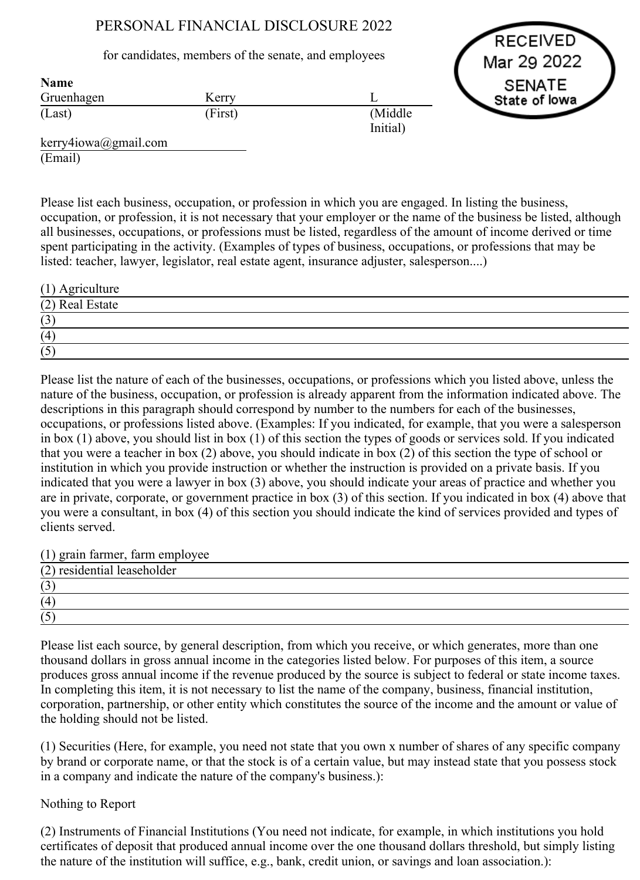## PERSONAL FINANCIAL DISCLOSURE 2022

## for candidates, members of the senate, and employees

RECEIVED Mar 29 2022 **SENATE** State of lowa

| <b>Name</b> |         |                      |
|-------------|---------|----------------------|
| Gruenhagen  | Kerry   |                      |
| (Last)      | (First) | (Middle)<br>Initial) |
|             |         |                      |

kerry4iowa@gmail.com (Email)

Name

Please list each business, occupation, or profession in which you are engaged. In listing the business, occupation, or profession, it is not necessary that your employer or the name of the business be listed, although all businesses, occupations, or professions must be listed, regardless of the amount of income derived or time spent participating in the activity. (Examples of types of business, occupations, or professions that may be listed: teacher, lawyer, legislator, real estate agent, insurance adjuster, salesperson....)

| $(1)$ Agriculture |  |
|-------------------|--|
| (2) Real Estate   |  |
| (3)               |  |
| (4)               |  |
| (5)               |  |

Please list the nature of each of the businesses, occupations, or professions which you listed above, unless the nature of the business, occupation, or profession is already apparent from the information indicated above. The descriptions in this paragraph should correspond by number to the numbers for each of the businesses, occupations, or professions listed above. (Examples: If you indicated, for example, that you were a salesperson in box (1) above, you should list in box (1) of this section the types of goods or services sold. If you indicated that you were a teacher in box (2) above, you should indicate in box (2) of this section the type of school or institution in which you provide instruction or whether the instruction is provided on a private basis. If you indicated that you were a lawyer in box (3) above, you should indicate your areas of practice and whether you are in private, corporate, or government practice in box (3) of this section. If you indicated in box (4) above that you were a consultant, in box (4) of this section you should indicate the kind of services provided and types of clients served.

(1) grain farmer, farm employee

| (2) residential leaseholder |  |
|-----------------------------|--|
| (2)<br>$\mathfrak{c}$       |  |
| (4)                         |  |
| (5)                         |  |

Please list each source, by general description, from which you receive, or which generates, more than one thousand dollars in gross annual income in the categories listed below. For purposes of this item, a source produces gross annual income if the revenue produced by the source is subject to federal or state income taxes. In completing this item, it is not necessary to list the name of the company, business, financial institution, corporation, partnership, or other entity which constitutes the source of the income and the amount or value of the holding should not be listed.

(1) Securities (Here, for example, you need not state that you own x number of shares of any specific company by brand or corporate name, or that the stock is of a certain value, but may instead state that you possess stock in a company and indicate the nature of the company's business.):

## Nothing to Report

(2) Instruments of Financial Institutions (You need not indicate, for example, in which institutions you hold certificates of deposit that produced annual income over the one thousand dollars threshold, but simply listing the nature of the institution will suffice, e.g., bank, credit union, or savings and loan association.):